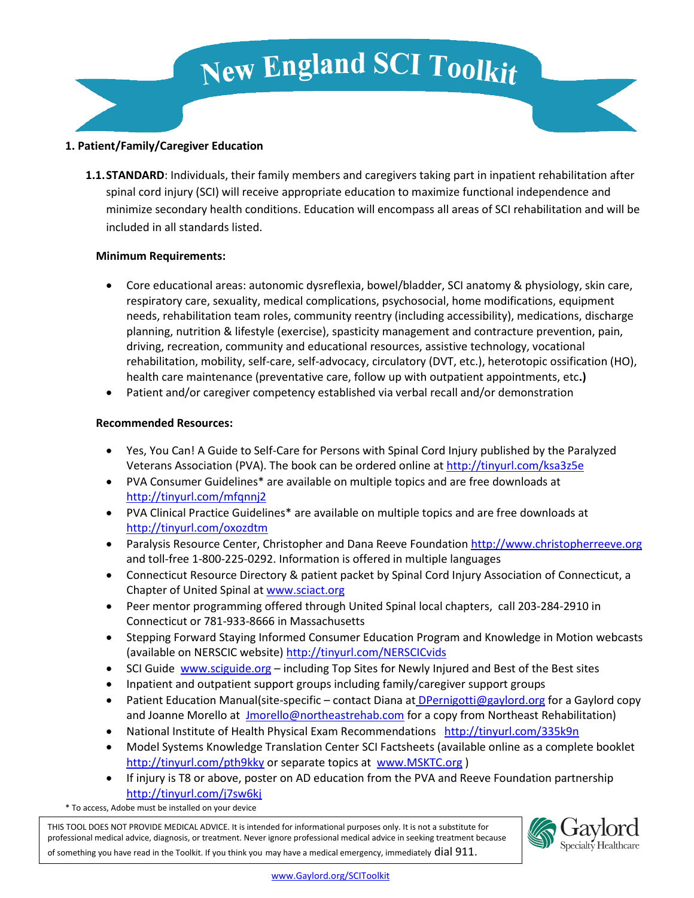# **New England SCI Toolkit**

#### **1. Patient/Family/Caregiver Education**

**1.1.STANDARD**: Individuals, their family members and caregivers taking part in inpatient rehabilitation after spinal cord injury (SCI) will receive appropriate education to maximize functional independence and minimize secondary health conditions. Education will encompass all areas of SCI rehabilitation and will be included in all standards listed.

#### **Minimum Requirements:**

- Core educational areas: autonomic dysreflexia, bowel/bladder, SCI anatomy & physiology, skin care, respiratory care, sexuality, medical complications, psychosocial, home modifications, equipment needs, rehabilitation team roles, community reentry (including accessibility), medications, discharge planning, nutrition & lifestyle (exercise), spasticity management and contracture prevention, pain, driving, recreation, community and educational resources, assistive technology, vocational rehabilitation, mobility, self-care, self-advocacy, circulatory (DVT, etc.), heterotopic ossification (HO), health care maintenance (preventative care, follow up with outpatient appointments, etc**.)**
- Patient and/or caregiver competency established via verbal recall and/or demonstration

#### **Recommended Resources:**

- Yes, You Can! A Guide to Self-Care for Persons with Spinal Cord Injury published by the Paralyzed Veterans Association (PVA). The book can be ordered online at<http://tinyurl.com/ksa3z5e>
- PVA Consumer Guidelines\* are available on multiple topics and are free downloads at <http://tinyurl.com/mfqnnj2>
- PVA Clinical Practice Guidelines\* are available on multiple topics and are free downloads at <http://tinyurl.com/oxozdtm>
- Paralysis Resource Center, Christopher and Dana Reeve Foundatio[n http://www.christopherreeve.org](http://www.christopherreeve.org/) and toll-free 1-800-225-0292. Information is offered in multiple languages
- Connecticut Resource Directory & patient packet by Spinal Cord Injury Association of Connecticut, a Chapter of United Spinal at [www.sciact.org](http://www.sciact.org/(S(yb3az3nkwst1atd4etvwnklh))/Default.aspx)
- Peer mentor programming offered through United Spinal local chapters, call 203-284-2910 in Connecticut or 781-933-8666 in Massachusetts
- Stepping Forward Staying Informed Consumer Education Program and Knowledge in Motion webcasts (available on NERSCIC website[\) http://tinyurl.com/NERSCICvids](http://tinyurl.com/NERSCICvids)
- SCI Guide [www.sciguide.org](http://www.sciguide.org/) including Top Sites for Newly Injured and Best of the Best sites
- Inpatient and outpatient support groups including family/caregiver support groups
- Patient Education Manual(site-specific contact Diana a[t DPernigotti@gaylord.org](mailto:%20DPernigotti@gaylord.org) for a Gaylord copy and Joanne Morello at [Jmorello@northeastrehab.com](mailto:Jmorello@northeastrehab.com) for a copy from Northeast Rehabilitation)
- National Institute of Health Physical Exam Recommendations <http://tinyurl.com/335k9n>
- Model Systems Knowledge Translation Center SCI Factsheets (available online as a complete booklet <http://tinyurl.com/pth9kky>or separate topics at [www.MSKTC.org](http://www.msktc.org/) )
- If injury is T8 or above, poster on AD education from the PVA and Reeve Foundation partnership <http://tinyurl.com/j7sw6kj>

\* To access, Adobe must be installed on your device

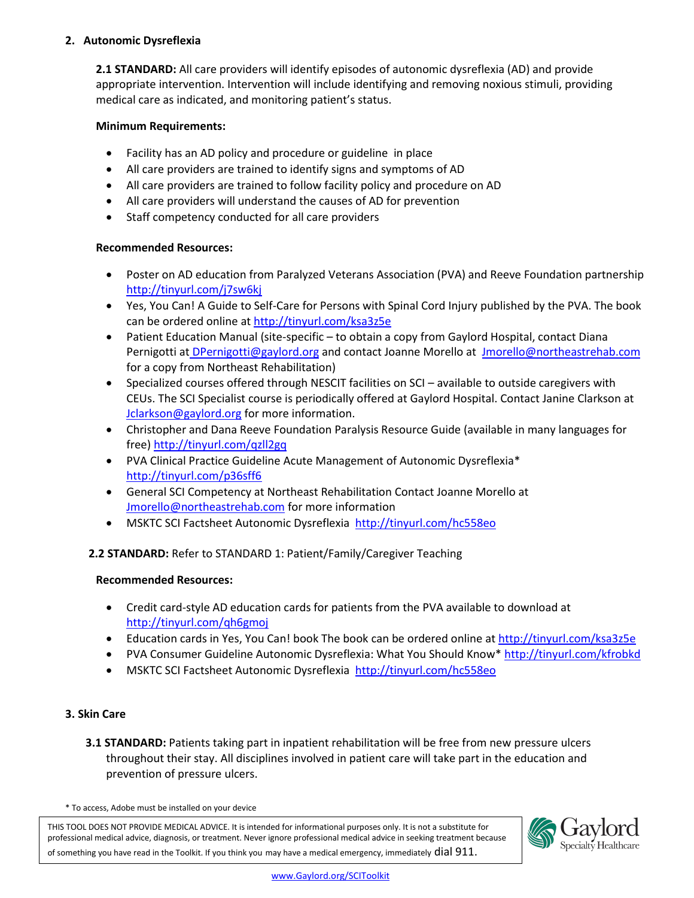## **2. Autonomic Dysreflexia**

**2.1 STANDARD:** All care providers will identify episodes of autonomic dysreflexia (AD) and provide appropriate intervention. Intervention will include identifying and removing noxious stimuli, providing medical care as indicated, and monitoring patient's status.

#### **Minimum Requirements:**

- Facility has an AD policy and procedure or guideline in place
- All care providers are trained to identify signs and symptoms of AD
- All care providers are trained to follow facility policy and procedure on AD
- All care providers will understand the causes of AD for prevention
- Staff competency conducted for all care providers

#### **Recommended Resources:**

- Poster on AD education from Paralyzed Veterans Association (PVA) and Reeve Foundation partnership <http://tinyurl.com/j7sw6kj>
- Yes, You Can! A Guide to Self-Care for Persons with Spinal Cord Injury published by the PVA. The book can be ordered online at<http://tinyurl.com/ksa3z5e>
- Patient Education Manual (site-specific to obtain a copy from Gaylord Hospital, contact Diana Pernigotti a[t DPernigotti@gaylord.org](mailto:%20DPernigotti@gaylord.org) and contact Joanne Morello at [Jmorello@northeastrehab.com](mailto:Jmorello@northeastrehab.com) for a copy from Northeast Rehabilitation)
- Specialized courses offered through NESCIT facilities on SCI available to outside caregivers with CEUs. The SCI Specialist course is periodically offered at Gaylord Hospital. Contact Janine Clarkson at [Jclarkson@gaylord.org](mailto:Jclarkson@gaylord.org) for more information.
- Christopher and Dana Reeve Foundation Paralysis Resource Guide (available in many languages for free[\) http://tinyurl.com/qzll2gq](http://tinyurl.com/qzll2gq)
- PVA Clinical Practice Guideline Acute Management of Autonomic Dysreflexia\* <http://tinyurl.com/p36sff6>
- General SCI Competency at Northeast Rehabilitation Contact Joanne Morello at [Jmorello@northeastrehab.com](mailto:jmorello@northeastrehab.com) for more information
- MSKTC SCI Factsheet Autonomic Dysreflexia [http://tinyurl.com/hc558eo](http://www.msktc.org/sci/factsheets/autonomic_dysreflexia)

## **2.2 STANDARD:** Refer to STANDARD 1: Patient/Family/Caregiver Teaching

## **Recommended Resources:**

- Credit card-style AD education cards for patients from the PVA available to download at <http://tinyurl.com/qh6gmoj>
- Education cards in Yes, You Can! book The book can be ordered online a[t http://tinyurl.com/ksa3z5e](http://tinyurl.com/ksa3z5e)
- PVA Consumer Guideline Autonomic Dysreflexia: What You Should Know\*<http://tinyurl.com/kfrobkd>
- MSKTC SCI Factsheet Autonomic Dysreflexia [http://tinyurl.com/hc558eo](http://www.msktc.org/sci/factsheets/autonomic_dysreflexia)

## **3. Skin Care**

**3.1 STANDARD:** Patients taking part in inpatient rehabilitation will be free from new pressure ulcers throughout their stay. All disciplines involved in patient care will take part in the education and prevention of pressure ulcers.

\* To access, Adobe must be installed on your device

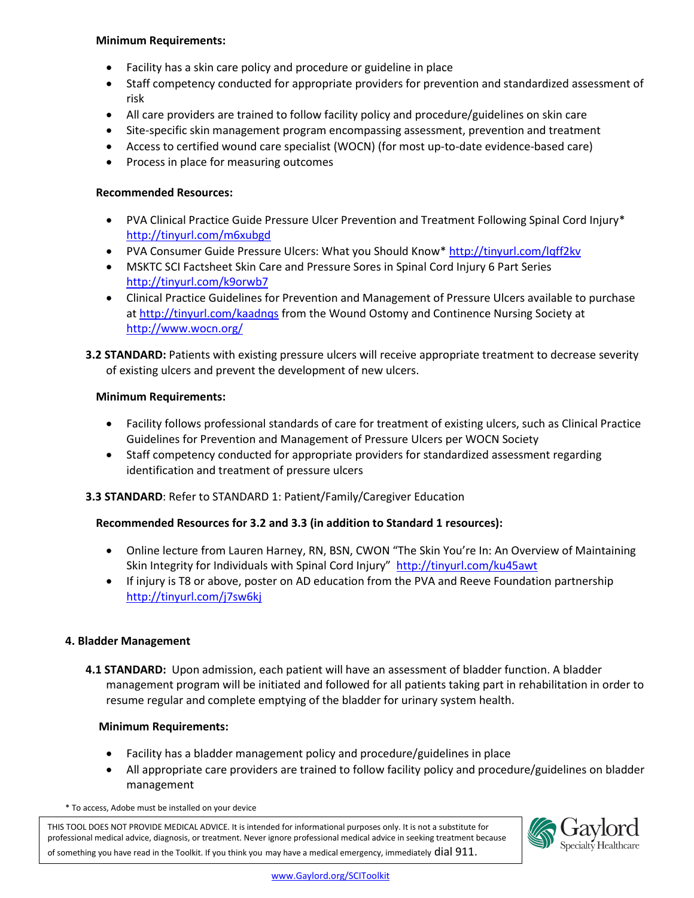#### **Minimum Requirements:**

- Facility has a skin care policy and procedure or guideline in place
- Staff competency conducted for appropriate providers for prevention and standardized assessment of risk
- All care providers are trained to follow facility policy and procedure/guidelines on skin care
- Site-specific skin management program encompassing assessment, prevention and treatment
- Access to certified wound care specialist (WOCN) (for most up-to-date evidence-based care)
- Process in place for measuring outcomes

#### **Recommended Resources:**

- PVA Clinical Practice Guide Pressure Ulcer Prevention and Treatment Following Spinal Cord Injury\* <http://tinyurl.com/m6xubgd>
- PVA Consumer Guide Pressure Ulcers: What you Should Know\*<http://tinyurl.com/lqff2kv>
- MSKTC SCI Factsheet Skin Care and Pressure Sores in Spinal Cord Injury 6 Part Series <http://tinyurl.com/k9orwb7>
- Clinical Practice Guidelines for Prevention and Management of Pressure Ulcers available to purchase at<http://tinyurl.com/kaadnqs> from the Wound Ostomy and Continence Nursing Society at <http://www.wocn.org/>
- **3.2 STANDARD:** Patients with existing pressure ulcers will receive appropriate treatment to decrease severity of existing ulcers and prevent the development of new ulcers.

## **Minimum Requirements:**

- Facility follows professional standards of care for treatment of existing ulcers, such as Clinical Practice Guidelines for Prevention and Management of Pressure Ulcers per WOCN Society
- Staff competency conducted for appropriate providers for standardized assessment regarding identification and treatment of pressure ulcers

## **3.3 STANDARD**: Refer to STANDARD 1: Patient/Family/Caregiver Education

## **Recommended Resources for 3.2 and 3.3 (in addition to Standard 1 resources):**

- Online lecture from Lauren Harney, RN, BSN, CWON "The Skin You're In: An Overview of Maintaining Skin Integrity for Individuals with Spinal Cord Injury" <http://tinyurl.com/ku45awt>
- If injury is T8 or above, poster on AD education from the PVA and Reeve Foundation partnership <http://tinyurl.com/j7sw6kj>

#### **4. Bladder Management**

**4.1 STANDARD:** Upon admission, each patient will have an assessment of bladder function. A bladder management program will be initiated and followed for all patients taking part in rehabilitation in order to resume regular and complete emptying of the bladder for urinary system health.

#### **Minimum Requirements:**

- Facility has a bladder management policy and procedure/guidelines in place
- All appropriate care providers are trained to follow facility policy and procedure/guidelines on bladder management

\* To access, Adobe must be installed on your device

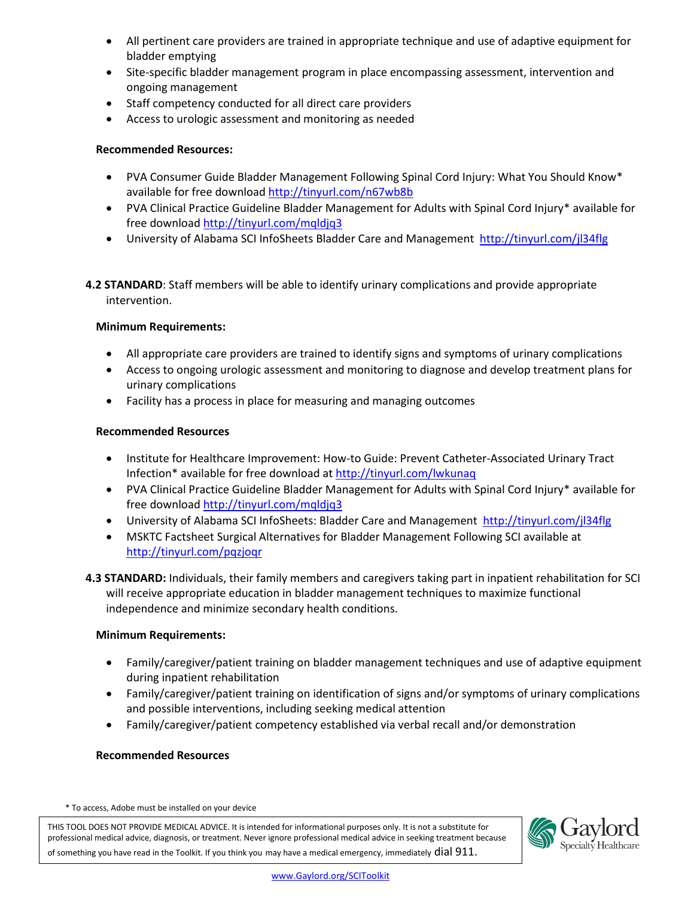- All pertinent care providers are trained in appropriate technique and use of adaptive equipment for bladder emptying
- Site-specific bladder management program in place encompassing assessment, intervention and ongoing management
- Staff competency conducted for all direct care providers
- Access to urologic assessment and monitoring as needed

## **Recommended Resources:**

- PVA Consumer Guide Bladder Management Following Spinal Cord Injury: What You Should Know\* available for free download<http://tinyurl.com/n67wb8b>
- PVA Clinical Practice Guideline Bladder Management for Adults with Spinal Cord Injury\* available for free download<http://tinyurl.com/mqldjq3>
- University of Alabama SCI InfoSheets Bladder Care and Management <http://tinyurl.com/jl34flg>

**4.2 STANDARD**: Staff members will be able to identify urinary complications and provide appropriate intervention.

## **Minimum Requirements:**

- All appropriate care providers are trained to identify signs and symptoms of urinary complications
- Access to ongoing urologic assessment and monitoring to diagnose and develop treatment plans for urinary complications
- Facility has a process in place for measuring and managing outcomes

## **Recommended Resources**

- Institute for Healthcare Improvement: How-to Guide: Prevent Catheter-Associated Urinary Tract Infection\* available for free download at<http://tinyurl.com/lwkunaq>
- PVA Clinical Practice Guideline Bladder Management for Adults with Spinal Cord Injury\* available for free download<http://tinyurl.com/mqldjq3>
- University of Alabama SCI InfoSheets: Bladder Care and Management <http://tinyurl.com/jl34flg>
- MSKTC Factsheet Surgical Alternatives for Bladder Management Following SCI available at <http://tinyurl.com/pqzjoqr>
- **4.3 STANDARD:** Individuals, their family members and caregivers taking part in inpatient rehabilitation for SCI will receive appropriate education in bladder management techniques to maximize functional independence and minimize secondary health conditions.

## **Minimum Requirements:**

- Family/caregiver/patient training on bladder management techniques and use of adaptive equipment during inpatient rehabilitation
- Family/caregiver/patient training on identification of signs and/or symptoms of urinary complications and possible interventions, including seeking medical attention
- Family/caregiver/patient competency established via verbal recall and/or demonstration

## **Recommended Resources**

\* To access, Adobe must be installed on your device

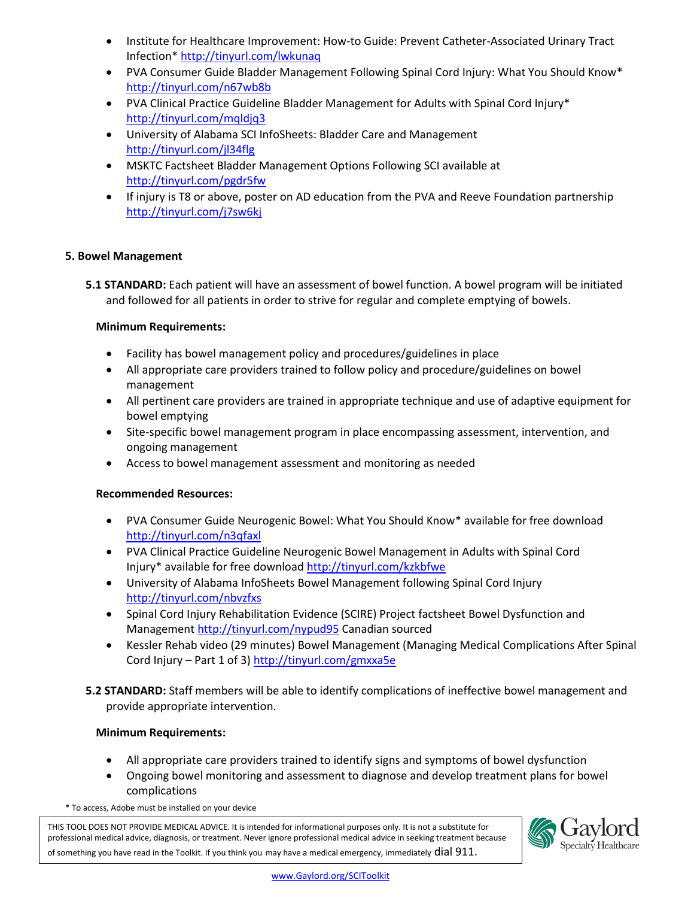- Institute for Healthcare Improvement: How-to Guide: Prevent Catheter-Associated Urinary Tract Infection[\\* http://tinyurl.com/lwkunaq](http://tinyurl.com/lwkunaq)
- PVA Consumer Guide Bladder Management Following Spinal Cord Injury: What You Should Know\* <http://tinyurl.com/n67wb8b>
- PVA Clinical Practice Guideline Bladder Management for Adults with Spinal Cord Injury\* <http://tinyurl.com/mqldjq3>
- University of Alabama SCI InfoSheets: Bladder Care and Management <http://tinyurl.com/jl34flg>
- MSKTC Factsheet [Bladder Management Options Following SCI](file://wilma/storage/DPernigotti/NESCIT/To%20send%20to%20Judi/Bladder%20Management%20Options%20Following%20SCI) available at <http://tinyurl.com/pgdr5fw>
- If injury is T8 or above, poster on AD education from the PVA and Reeve Foundation partnership <http://tinyurl.com/j7sw6kj>

## **5. Bowel Management**

**5.1 STANDARD:** Each patient will have an assessment of bowel function. A bowel program will be initiated and followed for all patients in order to strive for regular and complete emptying of bowels.

## **Minimum Requirements:**

- Facility has bowel management policy and procedures/guidelines in place
- All appropriate care providers trained to follow policy and procedure/guidelines on bowel management
- All pertinent care providers are trained in appropriate technique and use of adaptive equipment for bowel emptying
- Site-specific bowel management program in place encompassing assessment, intervention, and ongoing management
- Access to bowel management assessment and monitoring as needed

## **Recommended Resources:**

- PVA Consumer Guide Neurogenic Bowel: What You Should Know\* available for free download <http://tinyurl.com/n3qfaxl>
- PVA Clinical Practice Guideline Neurogenic Bowel Management in Adults with Spinal Cord Injury\* available for free downloa[d http://tinyurl.com/kzkbfwe](http://tinyurl.com/kzkbfwe)
- University of Alabama InfoSheets Bowel Management following Spinal Cord Injury <http://tinyurl.com/nbvzfxs>
- Spinal Cord Injury Rehabilitation Evidence (SCIRE) Project factsheet Bowel Dysfunction and Management<http://tinyurl.com/nypud95>Canadian sourced
- Kessler Rehab video (29 minutes) Bowel Management (Managing Medical Complications After Spinal Cord Injury – Part 1 of 3[\) http://tinyurl.com/gmxxa5e](http://tinyurl.com/gmxxa5e)
- **5.2 STANDARD:** Staff members will be able to identify complications of ineffective bowel management and provide appropriate intervention.

## **Minimum Requirements:**

- All appropriate care providers trained to identify signs and symptoms of bowel dysfunction
- Ongoing bowel monitoring and assessment to diagnose and develop treatment plans for bowel complications
- \* To access, Adobe must be installed on your device

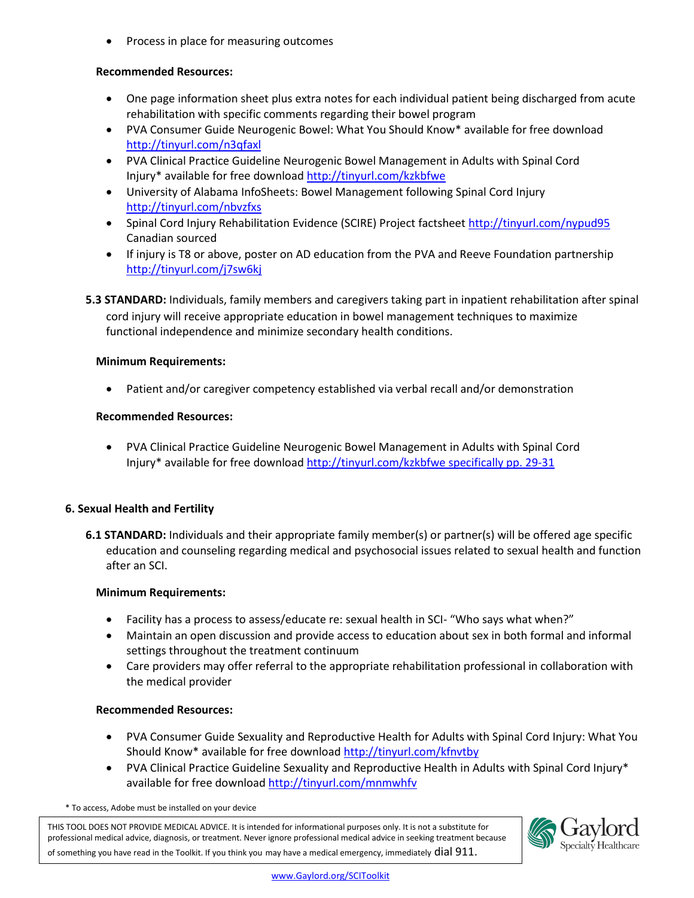Process in place for measuring outcomes

#### **Recommended Resources:**

- One page information sheet plus extra notes for each individual patient being discharged from acute rehabilitation with specific comments regarding their bowel program
- PVA Consumer Guide Neurogenic Bowel: What You Should Know\* available for free download <http://tinyurl.com/n3qfaxl>
- PVA Clinical Practice Guideline Neurogenic Bowel Management in Adults with Spinal Cord Injury\* available for free downloa[d http://tinyurl.com/kzkbfwe](http://tinyurl.com/kzkbfwe)
- University of Alabama InfoSheets: Bowel Management following Spinal Cord Injury <http://tinyurl.com/nbvzfxs>
- Spinal Cord Injury Rehabilitation Evidence (SCIRE) Project factsheet<http://tinyurl.com/nypud95> Canadian sourced
- If injury is T8 or above, poster on AD education from the PVA and Reeve Foundation partnership <http://tinyurl.com/j7sw6kj>
- **5.3 STANDARD:** Individuals, family members and caregivers taking part in inpatient rehabilitation after spinal cord injury will receive appropriate education in bowel management techniques to maximize functional independence and minimize secondary health conditions.

#### **Minimum Requirements:**

Patient and/or caregiver competency established via verbal recall and/or demonstration

#### **Recommended Resources:**

 PVA Clinical Practice Guideline Ne[urogenic Bowel Management in Adults with Spinal C](http://tinyurl.com/kzkbfwe%20specifically%20pp.%2029-31)ord Injury\* available for free download http://tinyurl.com/kzkbfwe specifically pp. 29-31

## **6. Sexual Health and Fertility**

**6.1 STANDARD:** Individuals and their appropriate family member(s) or partner(s) will be offered age specific education and counseling regarding medical and psychosocial issues related to sexual health and function after an SCI.

#### **Minimum Requirements:**

- Facility has a process to assess/educate re: sexual health in SCI- "Who says what when?"
- Maintain an open discussion and provide access to education about sex in both formal and informal settings throughout the treatment continuum
- Care providers may offer referral to the appropriate rehabilitation professional in collaboration with the medical provider

#### **Recommended Resources:**

- PVA Consumer Guide Sexuality and Reproductive Health for Adults with Spinal Cord Injury: What You Should Know\* available for free download<http://tinyurl.com/kfnvtby>
- PVA Clinical Practice Guideline Sexuality and Reproductive Health in Adults with Spinal Cord Injury\* available for free download<http://tinyurl.com/mnmwhfv>

\* To access, Adobe must be installed on your device

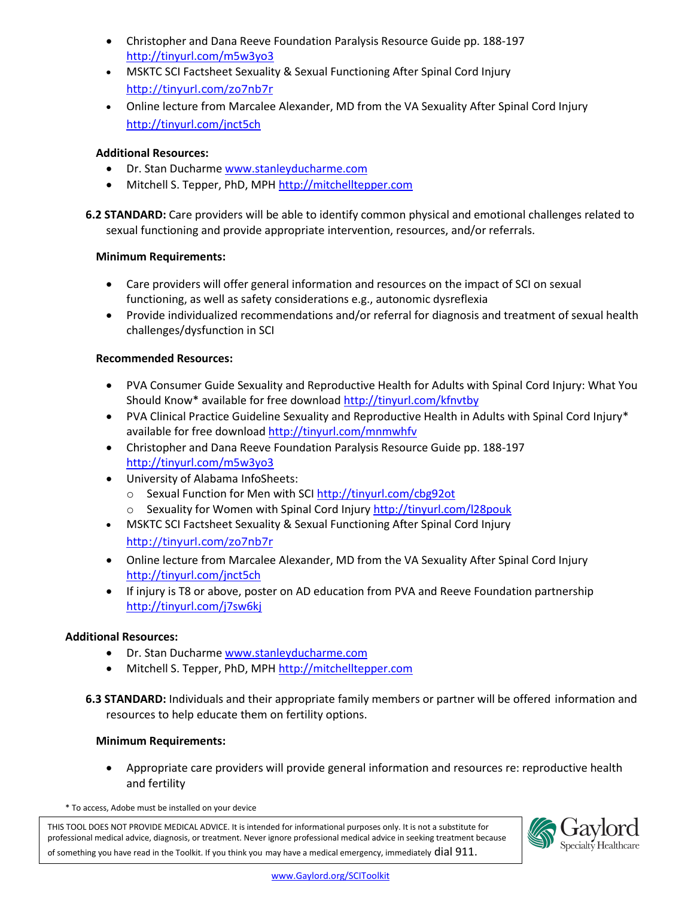- Christopher and Dana Reeve Foundation Paralysis Resource Guide pp. 188-197 <http://tinyurl.com/m5w3yo3>
- MSKTC SCI Factsheet Sexuality & Sexual Functioning After Spinal Cord Injury h[ttp://tinyurl.com/zo7nb7r](http://www.msktc.org/sci/factsheets/sexuality)
- Online lecture from Marcalee Alexander, MD from the VA Sexuality After Spinal Cord Injury <http://tinyurl.com/jnct5ch>

## **Additional Resources:**

- Dr. Stan Ducharm[e www.stanleyducharme.com](http://www.stanleyducharme.com/)
- Mitchell S. Tepper, PhD, MPH http:/[/mitchelltepper.com](http://mitchelltepper.com/)

**6.2 STANDARD:** Care providers will be able to identify common physical and emotional challenges related to sexual functioning and provide appropriate intervention, resources, and/or referrals.

## **Minimum Requirements:**

- Care providers will offer general information and resources on the impact of SCI on sexual functioning, as well as safety considerations e.g., autonomic dysreflexia
- Provide individualized recommendations and/or referral for diagnosis and treatment of sexual health challenges/dysfunction in SCI

## **Recommended Resources:**

- PVA Consumer Guide Sexuality and Reproductive Health for Adults with Spinal Cord Injury: What You Should Know\* available for free download<http://tinyurl.com/kfnvtby>
- PVA Clinical Practice Guideline Sexuality and Reproductive Health in Adults with Spinal Cord Injury\* available for free download<http://tinyurl.com/mnmwhfv>
- Christopher and Dana Reeve Foundation Paralysis Resource Guide pp. 188-197 <http://tinyurl.com/m5w3yo3>
- University of Alabama InfoSheets:
	- o Sexual Function for Men with SC[I http://tinyurl.com/cbg92ot](http://tinyurl.com/cbg92ot)
	- o Sexuality for Women with Spinal Cord Injur[y http://tinyurl.com/l28pouk](http://tinyurl.com/l28pouk)
- MSKTC SCI Factsheet Sexuality & Sexual Functioning After Spinal Cord Injury h[ttp://tinyurl.com/zo7nb7r](http://www.msktc.org/sci/factsheets/sexuality)
- Online lecture from Marcalee Alexander, MD from the VA Sexuality After Spinal Cord Injury <http://tinyurl.com/jnct5ch>
- If injury is T8 or above, poster on AD education from PVA and Reeve Foundation partnership <http://tinyurl.com/j7sw6kj>

## **Additional Resources:**

- Dr. Stan Ducharm[e www.stanleyducharme.com](http://www.stanleyducharme.com/)
- Mitchell S. Tepper, PhD, MPH http:/[/mitchelltepper.com](http://mitchelltepper.com/)
- **6.3 STANDARD:** Individuals and their appropriate family members or partner will be offered information and resources to help educate them on fertility options.

## **Minimum Requirements:**

 Appropriate care providers will provide general information and resources re: reproductive health and fertility

\* To access, Adobe must be installed on your device

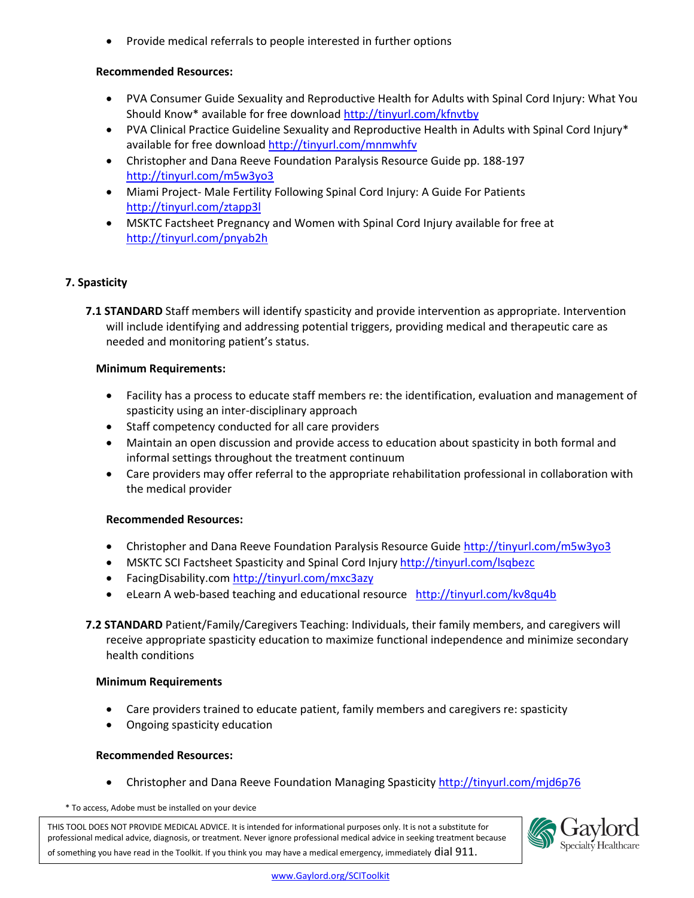• Provide medical referrals to people interested in further options

## **Recommended Resources:**

- PVA Consumer Guide Sexuality and Reproductive Health for Adults with Spinal Cord Injury: What You Should Know\* available for free download<http://tinyurl.com/kfnvtby>
- PVA Clinical Practice Guideline Sexuality and Reproductive Health in Adults with Spinal Cord Injury\* available for free download<http://tinyurl.com/mnmwhfv>
- Christopher and Dana Reeve Foundation Paralysis Resource Guide pp. 188-197 <http://tinyurl.com/m5w3yo3>
- Miami Project- Male Fertility Following Spinal Cord Injury: A Guide For Patients <http://tinyurl.com/ztapp3l>
- MSKTC Factsheet Pregnancy and Women with Spinal Cord Injury available for free at <http://tinyurl.com/pnyab2h>

#### **7. Spasticity**

**7.1 STANDARD** Staff members will identify spasticity and provide intervention as appropriate. Intervention will include identifying and addressing potential triggers, providing medical and therapeutic care as needed and monitoring patient's status.

#### **Minimum Requirements:**

- Facility has a process to educate staff members re: the identification, evaluation and management of spasticity using an inter-disciplinary approach
- Staff competency conducted for all care providers
- Maintain an open discussion and provide access to education about spasticity in both formal and informal settings throughout the treatment continuum
- Care providers may offer referral to the appropriate rehabilitation professional in collaboration with the medical provider

#### **Recommended Resources:**

- Christopher and Dana Reeve Foundation Paralysis Resource Guide<http://tinyurl.com/m5w3yo3>
- MSKTC SCI Factsheet Spasticity and Spinal Cord Injury<http://tinyurl.com/lsqbezc>
- FacingDisability.com<http://tinyurl.com/mxc3azy>
- eLearn A web-based teaching and educational resource <http://tinyurl.com/kv8qu4b>
- **7.2 STANDARD** Patient/Family/Caregivers Teaching: Individuals, their family members, and caregivers will receive appropriate spasticity education to maximize functional independence and minimize secondary health conditions

#### **Minimum Requirements**

- Care providers trained to educate patient, family members and caregivers re: spasticity
- Ongoing spasticity education

#### **Recommended Resources:**

Christopher and Dana Reeve Foundation Managing Spasticity<http://tinyurl.com/mjd6p76>

\* To access, Adobe must be installed on your device